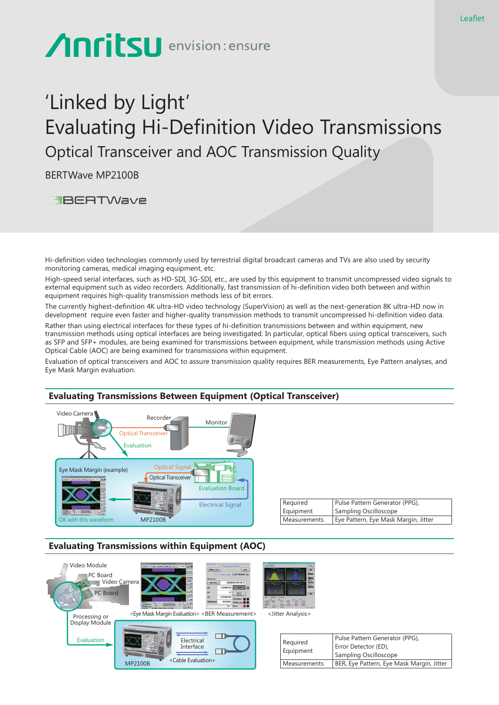# **Anritsu** envision: ensure

# 'Linked by Light' Evaluating Hi-Definition Video Transmissions Optical Transceiver and AOC Transmission Quality

BERTWave MP2100B

**EBERTWave** 

Hi-definition video technologies commonly used by terrestrial digital broadcast cameras and TVs are also used by security monitoring cameras, medical imaging equipment, etc.

High-speed serial interfaces, such as HD-SDI, 3G-SDI, etc., are used by this equipment to transmit uncompressed video signals to external equipment such as video recorders. Additionally, fast transmission of hi-definition video both between and within equipment requires high-quality transmission methods less of bit errors.

The currently highest-definition 4K ultra-HD video technology (SuperVision) as well as the next-generation 8K ultra-HD now in development require even faster and higher-quality transmission methods to transmit uncompressed hi-definition video data.

Rather than using electrical interfaces for these types of hi-definition transmissions between and within equipment, new transmission methods using optical interfaces are being investigated. In particular, optical fibers using optical transceivers, such as SFP and SFP+ modules, are being examined for transmissions between equipment, while transmission methods using Active Optical Cable (AOC) are being examined for transmissions within equipment.

Evaluation of optical transceivers and AOC to assure transmission quality requires BER measurements, Eye Pattern analyses, and Eye Mask Margin evaluation.



| Required            | Pulse Pattern Generator (PPG),       |
|---------------------|--------------------------------------|
| Equipment           | Sampling Oscilloscope                |
| <b>Measurements</b> | Eye Pattern, Eye Mask Margin, Jitter |

## **Evaluating Transmissions within Equipment (AOC)**



| Required<br>Equipment | Pulse Pattern Generator (PPG),            |
|-----------------------|-------------------------------------------|
|                       | Error Detector (ED),                      |
|                       | Sampling Oscilloscope                     |
| Measurements          | BER, Eye Pattern, Eye Mask Margin, Jitter |

## **Evaluating Transmissions Between Equipment (Optical Transceiver)**